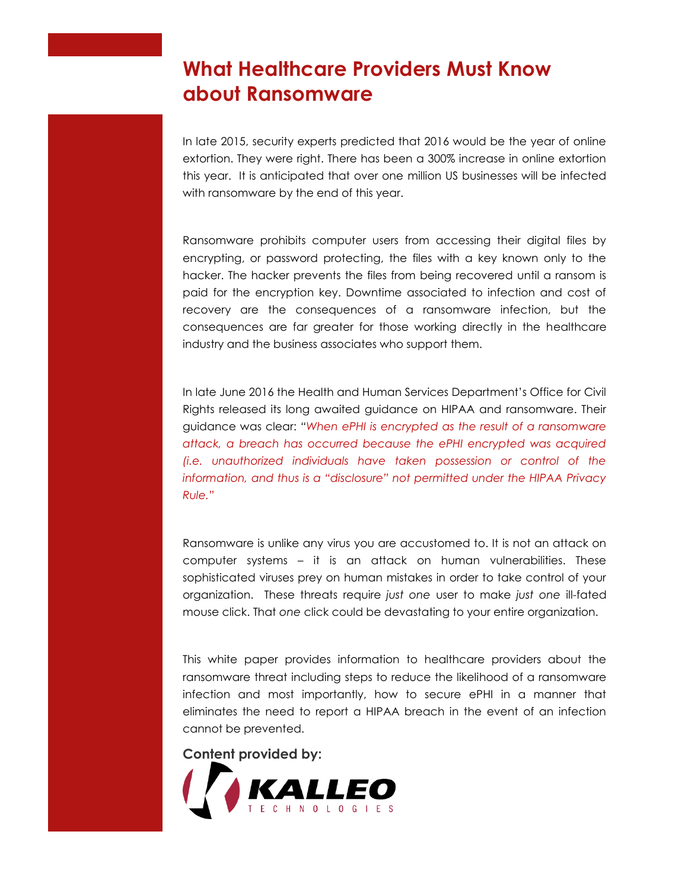# **What Healthcare Providers Must Know about Ransomware**

In late 2015, security experts predicted that 2016 would be the year of online extortion. They were right. There has been a 300% increase in online extortion this year. It is anticipated that over one million US businesses will be infected with ransomware by the end of this year.

Ransomware prohibits computer users from accessing their digital files by encrypting, or password protecting, the files with a key known only to the hacker. The hacker prevents the files from being recovered until a ransom is paid for the encryption key. Downtime associated to infection and cost of recovery are the consequences of a ransomware infection, but the consequences are far greater for those working directly in the healthcare industry and the business associates who support them.

In late June 2016 the Health and Human Services Department's Office for Civil Rights released its long awaited guidance on HIPAA and ransomware. Their guidance was clear: *"When ePHI is encrypted as the result of a ransomware attack, a breach has occurred because the ePHI encrypted was acquired (i.e. unauthorized individuals have taken possession or control of the information, and thus is a "disclosure" not permitted under the HIPAA Privacy Rule."*

Ransomware is unlike any virus you are accustomed to. It is not an attack on computer systems – it is an attack on human vulnerabilities. These sophisticated viruses prey on human mistakes in order to take control of your organization. These threats require *just one* user to make *just one* ill-fated mouse click. That *one* click could be devastating to your entire organization.

This white paper provides information to healthcare providers about the ransomware threat including steps to reduce the likelihood of a ransomware infection and most importantly, how to secure ePHI in a manner that eliminates the need to report a HIPAA breach in the event of an infection cannot be prevented.

**Content provided by:**

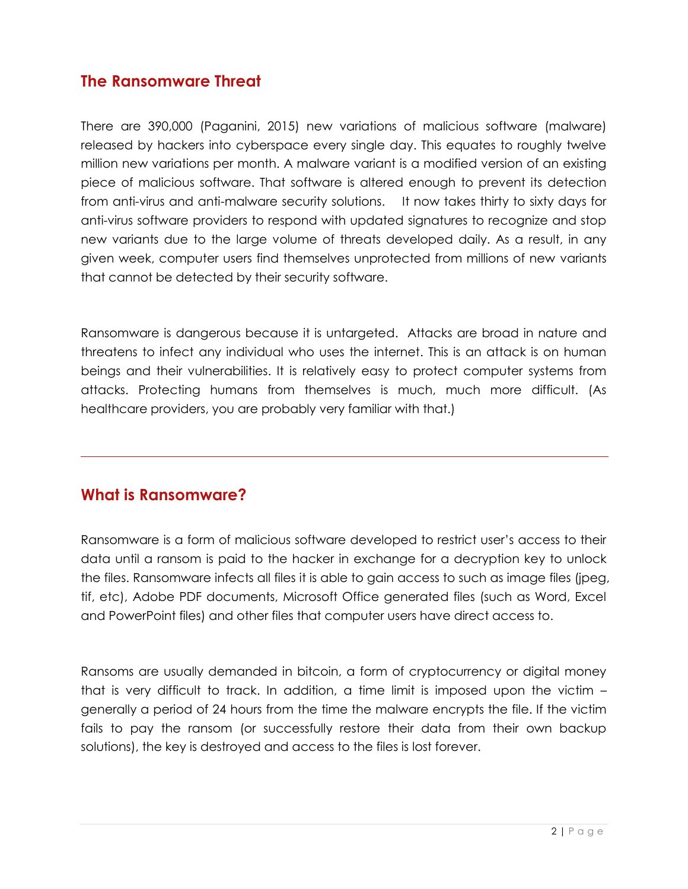### **The Ransomware Threat**

There are 390,000 (Paganini, 2015) new variations of malicious software (malware) released by hackers into cyberspace every single day. This equates to roughly twelve million new variations per month. A malware variant is a modified version of an existing piece of malicious software. That software is altered enough to prevent its detection from anti-virus and anti-malware security solutions. It now takes thirty to sixty days for anti-virus software providers to respond with updated signatures to recognize and stop new variants due to the large volume of threats developed daily. As a result, in any given week, computer users find themselves unprotected from millions of new variants that cannot be detected by their security software.

Ransomware is dangerous because it is untargeted. Attacks are broad in nature and threatens to infect any individual who uses the internet. This is an attack is on human beings and their vulnerabilities. It is relatively easy to protect computer systems from attacks. Protecting humans from themselves is much, much more difficult. (As healthcare providers, you are probably very familiar with that.)

### **What is Ransomware?**

Ransomware is a form of malicious software developed to restrict user's access to their data until a ransom is paid to the hacker in exchange for a decryption key to unlock the files. Ransomware infects all files it is able to gain access to such as image files (jpeg, tif, etc), Adobe PDF documents, Microsoft Office generated files (such as Word, Excel and PowerPoint files) and other files that computer users have direct access to.

Ransoms are usually demanded in bitcoin, a form of cryptocurrency or digital money that is very difficult to track. In addition, a time limit is imposed upon the victim – generally a period of 24 hours from the time the malware encrypts the file. If the victim fails to pay the ransom (or successfully restore their data from their own backup solutions), the key is destroyed and access to the files is lost forever.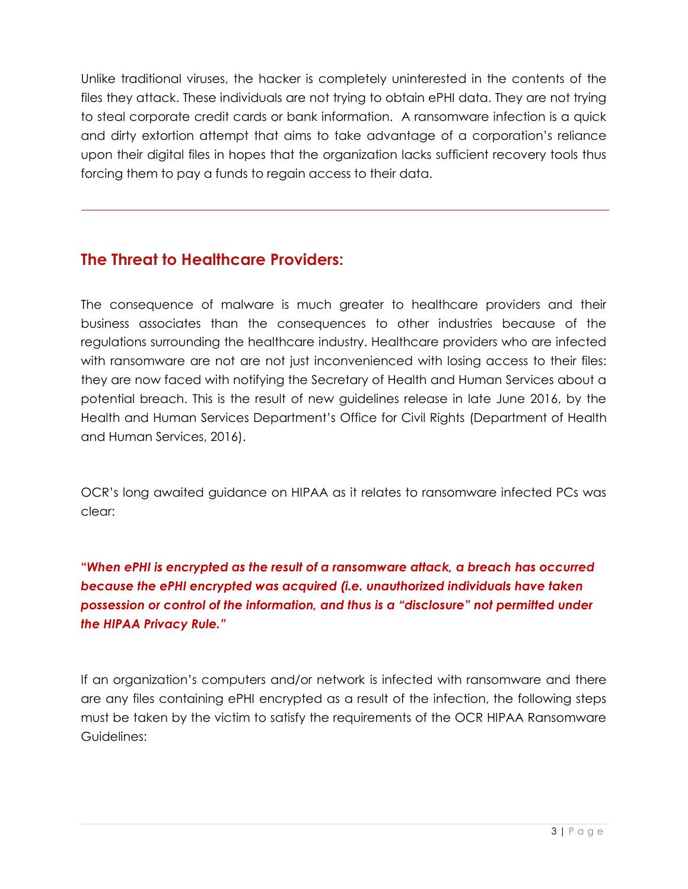Unlike traditional viruses, the hacker is completely uninterested in the contents of the files they attack. These individuals are not trying to obtain ePHI data. They are not trying to steal corporate credit cards or bank information. A ransomware infection is a quick and dirty extortion attempt that aims to take advantage of a corporation's reliance upon their digital files in hopes that the organization lacks sufficient recovery tools thus forcing them to pay a funds to regain access to their data.

# **The Threat to Healthcare Providers:**

The consequence of malware is much greater to healthcare providers and their business associates than the consequences to other industries because of the regulations surrounding the healthcare industry. Healthcare providers who are infected with ransomware are not are not just inconvenienced with losing access to their files: they are now faced with notifying the Secretary of Health and Human Services about a potential breach. This is the result of new guidelines release in late June 2016, by the Health and Human Services Department's Office for Civil Rights (Department of Health and Human Services, 2016).

OCR's long awaited guidance on HIPAA as it relates to ransomware infected PCs was clear:

**"***When ePHI is encrypted as the result of a ransomware attack, a breach has occurred because the ePHI encrypted was acquired (i.e. unauthorized individuals have taken possession or control of the information, and thus is a "disclosure" not permitted under the HIPAA Privacy Rule."*

If an organization's computers and/or network is infected with ransomware and there are any files containing ePHI encrypted as a result of the infection, the following steps must be taken by the victim to satisfy the requirements of the OCR HIPAA Ransomware Guidelines: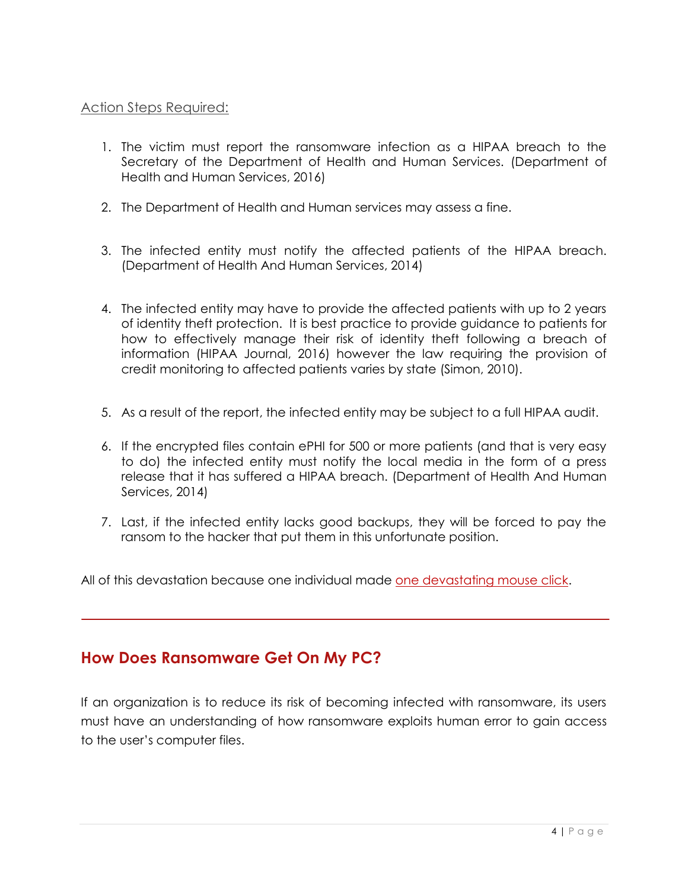#### Action Steps Required:

- 1. The victim must report the ransomware infection as a HIPAA breach to the Secretary of the Department of Health and Human Services. (Department of Health and Human Services, 2016)
- 2. The Department of Health and Human services may assess a fine.
- 3. The infected entity must notify the affected patients of the HIPAA breach. (Department of Health And Human Services, 2014)
- 4. The infected entity may have to provide the affected patients with up to 2 years of identity theft protection. It is best practice to provide guidance to patients for how to effectively manage their risk of identity theft following a breach of information (HIPAA Journal, 2016) however the law requiring the provision of credit monitoring to affected patients varies by state (Simon, 2010).
- 5. As a result of the report, the infected entity may be subject to a full HIPAA audit.
- 6. If the encrypted files contain ePHI for 500 or more patients (and that is very easy to do) the infected entity must notify the local media in the form of a press release that it has suffered a HIPAA breach. (Department of Health And Human Services, 2014)
- 7. Last, if the infected entity lacks good backups, they will be forced to pay the ransom to the hacker that put them in this unfortunate position.

All of this devastation because one individual made one devastating mouse click.

# **How Does Ransomware Get On My PC?**

If an organization is to reduce its risk of becoming infected with ransomware, its users must have an understanding of how ransomware exploits human error to gain access to the user's computer files.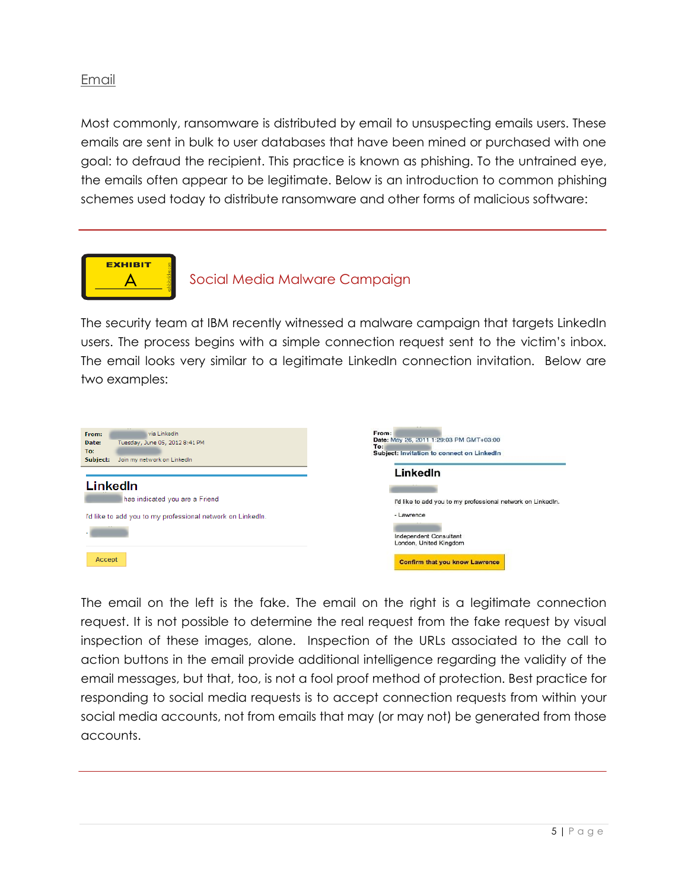#### Email

Most commonly, ransomware is distributed by email to unsuspecting emails users. These emails are sent in bulk to user databases that have been mined or purchased with one goal: to defraud the recipient. This practice is known as phishing. To the untrained eye, the emails often appear to be legitimate. Below is an introduction to common phishing schemes used today to distribute ransomware and other forms of malicious software:



#### Social Media Malware Campaign

The security team at IBM recently witnessed a malware campaign that targets LinkedIn users. The process begins with a simple connection request sent to the victim's inbox. The email looks very similar to a legitimate LinkedIn connection invitation. Below are two examples:



The email on the left is the fake. The email on the right is a legitimate connection request. It is not possible to determine the real request from the fake request by visual inspection of these images, alone. Inspection of the URLs associated to the call to action buttons in the email provide additional intelligence regarding the validity of the email messages, but that, too, is not a fool proof method of protection. Best practice for responding to social media requests is to accept connection requests from within your social media accounts, not from emails that may (or may not) be generated from those accounts.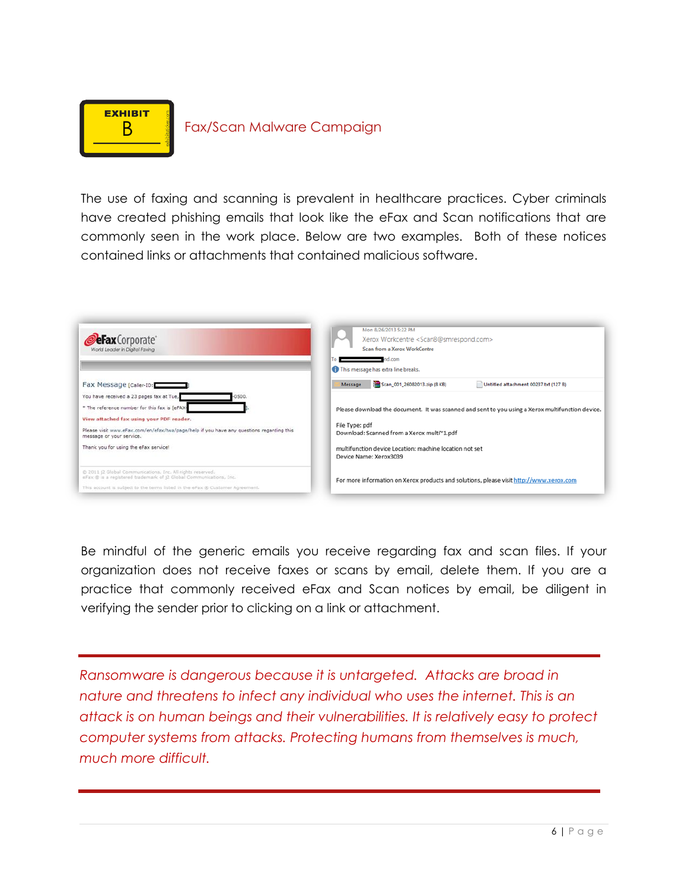

#### **B** Fax/Scan Malware Campaign

The use of faxing and scanning is prevalent in healthcare practices. Cyber criminals have created phishing emails that look like the eFax and Scan notifications that are commonly seen in the work place. Below are two examples. Both of these notices contained links or attachments that contained malicious software.

| <b>eFax</b> Corporate<br>World Leader in Digital Faxing                                                                          | Mon 8/26/2013 5:22 PM<br>Xerox Workcentre <scan8@smrespond.com><br/>Scan from a Xerox WorkCentre<br/><math>\blacksquare</math>nd.com<br/>This message has extra line breaks.</scan8@smrespond.com> |
|----------------------------------------------------------------------------------------------------------------------------------|----------------------------------------------------------------------------------------------------------------------------------------------------------------------------------------------------|
| Fax Message [caller-ID:                                                                                                          | Scan_001_26082013.zip (8 KB)<br>Untitled attachment 00237.txt (127 B)<br>Message                                                                                                                   |
| You have received a 23 pages fax at Tue,<br>0500.                                                                                |                                                                                                                                                                                                    |
| * The reference number for this fax is [eFAX-                                                                                    | Please download the document. It was scanned and sent to you using a Xerox multifunction device.                                                                                                   |
| View attached fax using your PDF reader.                                                                                         |                                                                                                                                                                                                    |
| Please visit www.eFax.com/en/efax/twa/page/help if you have any questions regarding this<br>message or your service.             | File Type: pdf<br>Download: Scanned from a Xerox multi~1.pdf                                                                                                                                       |
| Thank you for using the eFax service!                                                                                            | multifunction device Location: machine location not set<br>Device Name: Xerox3039                                                                                                                  |
| @ 2011 (2 Global Communications, Inc. All rights reserved.<br>eFax @ is a registered trademark of j2 Global Communications, Inc. | For more information on Xerox products and solutions, please visit http://www.xerox.com                                                                                                            |
| This account is subject to the terms listed in the eFax @ Customer Agreement.                                                    |                                                                                                                                                                                                    |

Be mindful of the generic emails you receive regarding fax and scan files. If your organization does not receive faxes or scans by email, delete them. If you are a practice that commonly received eFax and Scan notices by email, be diligent in verifying the sender prior to clicking on a link or attachment.

*Ransomware is dangerous because it is untargeted. Attacks are broad in nature and threatens to infect any individual who uses the internet. This is an attack is on human beings and their vulnerabilities. It is relatively easy to protect computer systems from attacks. Protecting humans from themselves is much, much more difficult.*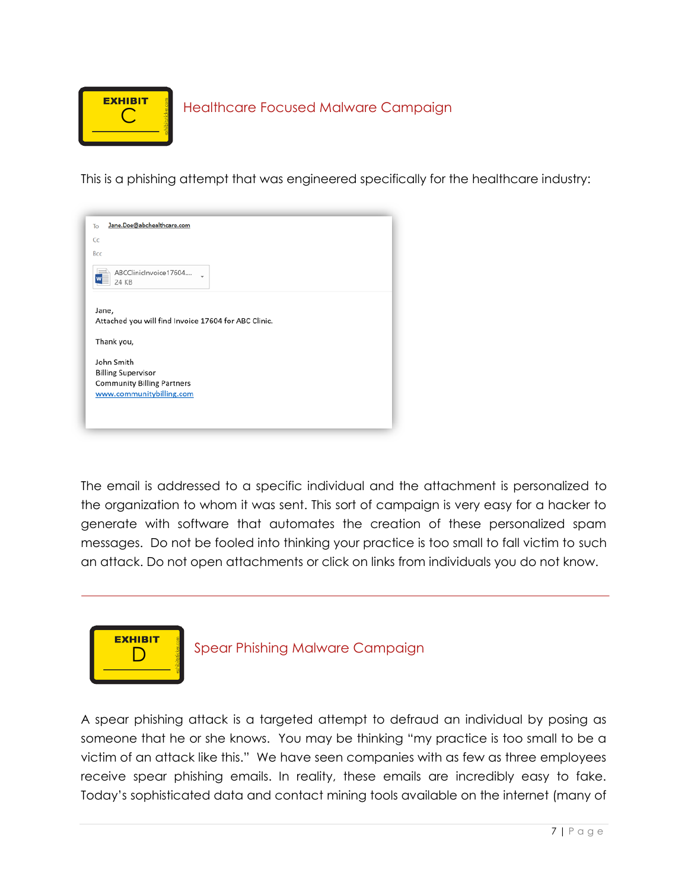

This is a phishing attempt that was engineered specifically for the healthcare industry:



The email is addressed to a specific individual and the attachment is personalized to the organization to whom it was sent. This sort of campaign is very easy for a hacker to generate with software that automates the creation of these personalized spam messages. Do not be fooled into thinking your practice is too small to fall victim to such an attack. Do not open attachments or click on links from individuals you do not know.



Spear Phishing Malware Campaign

A spear phishing attack is a targeted attempt to defraud an individual by posing as someone that he or she knows. You may be thinking "my practice is too small to be a victim of an attack like this." We have seen companies with as few as three employees receive spear phishing emails. In reality, these emails are incredibly easy to fake. Today's sophisticated data and contact mining tools available on the internet (many of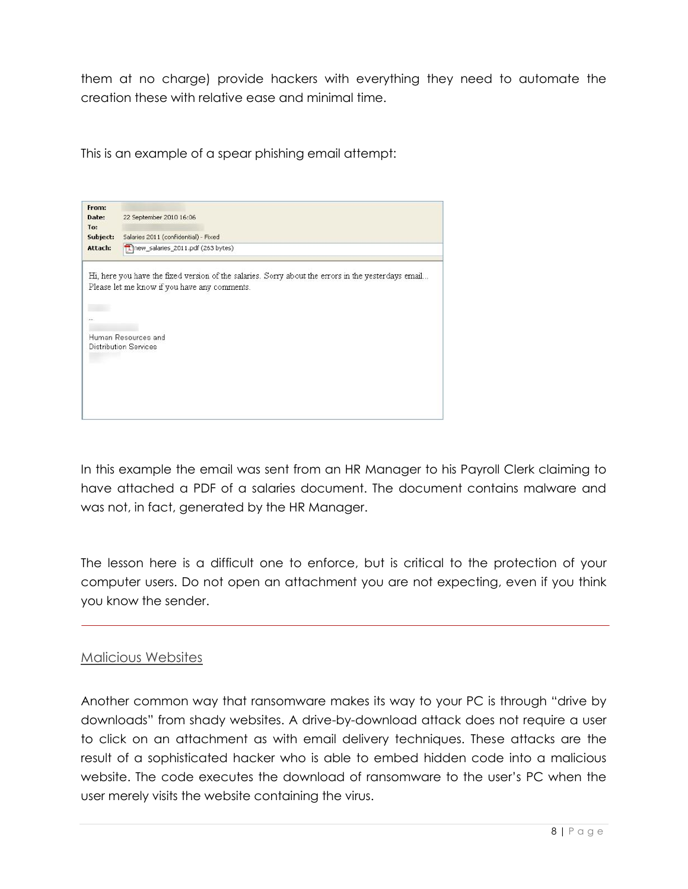them at no charge) provide hackers with everything they need to automate the creation these with relative ease and minimal time.

This is an example of a spear phishing email attempt:



In this example the email was sent from an HR Manager to his Payroll Clerk claiming to have attached a PDF of a salaries document. The document contains malware and was not, in fact, generated by the HR Manager.

The lesson here is a difficult one to enforce, but is critical to the protection of your computer users. Do not open an attachment you are not expecting, even if you think you know the sender.

#### Malicious Websites

Another common way that ransomware makes its way to your PC is through "drive by downloads" from shady websites. A drive-by-download attack does not require a user to click on an attachment as with email delivery techniques. These attacks are the result of a sophisticated hacker who is able to embed hidden code into a malicious website. The code executes the download of ransomware to the user's PC when the user merely visits the website containing the virus.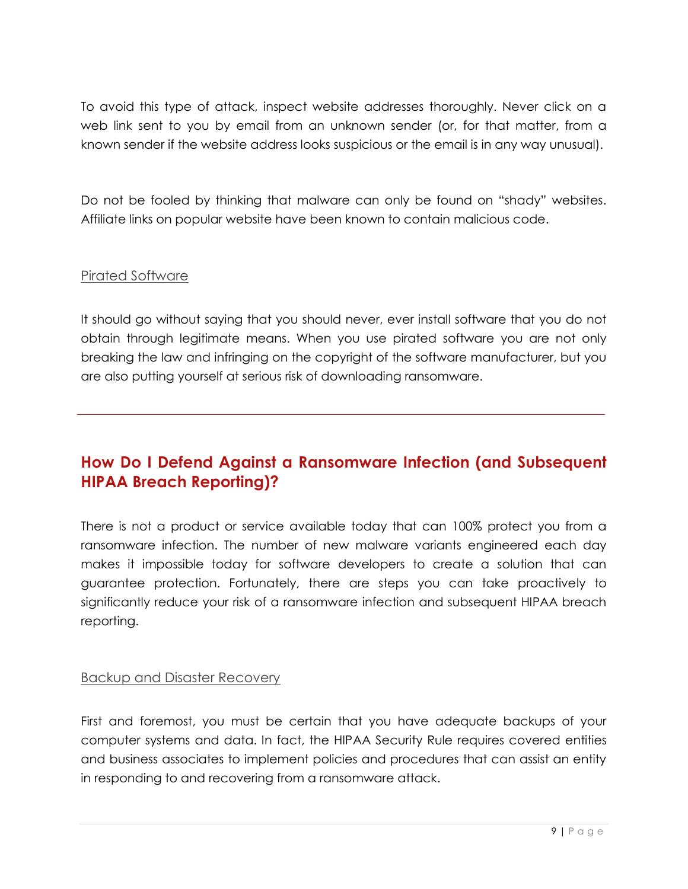To avoid this type of attack, inspect website addresses thoroughly. Never click on a web link sent to you by email from an unknown sender (or, for that matter, from a known sender if the website address looks suspicious or the email is in any way unusual).

Do not be fooled by thinking that malware can only be found on "shady" websites. Affiliate links on popular website have been known to contain malicious code.

#### Pirated Software

It should go without saying that you should never, ever install software that you do not obtain through legitimate means. When you use pirated software you are not only breaking the law and infringing on the copyright of the software manufacturer, but you are also putting yourself at serious risk of downloading ransomware.

# **How Do I Defend Against a Ransomware Infection (and Subsequent HIPAA Breach Reporting)?**

There is not a product or service available today that can 100% protect you from a ransomware infection. The number of new malware variants engineered each day makes it impossible today for software developers to create a solution that can guarantee protection. Fortunately, there are steps you can take proactively to significantly reduce your risk of a ransomware infection and subsequent HIPAA breach reporting.

#### Backup and Disaster Recovery

First and foremost, you must be certain that you have adequate backups of your computer systems and data. In fact, the HIPAA Security Rule requires covered entities and business associates to implement policies and procedures that can assist an entity in responding to and recovering from a ransomware attack.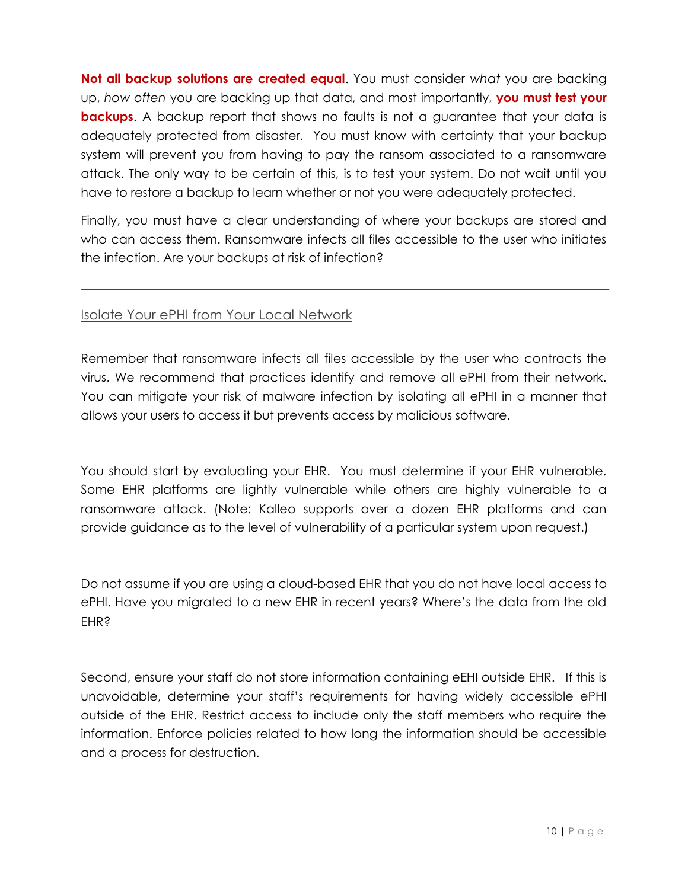**Not all backup solutions are created equal**. You must consider *what* you are backing up, *how often* you are backing up that data, and most importantly, **you must test your backups**. A backup report that shows no faults is not a guarantee that your data is adequately protected from disaster. You must know with certainty that your backup system will prevent you from having to pay the ransom associated to a ransomware attack. The only way to be certain of this, is to test your system. Do not wait until you have to restore a backup to learn whether or not you were adequately protected.

Finally, you must have a clear understanding of where your backups are stored and who can access them. Ransomware infects all files accessible to the user who initiates the infection. Are your backups at risk of infection?

#### Isolate Your ePHI from Your Local Network

Remember that ransomware infects all files accessible by the user who contracts the virus. We recommend that practices identify and remove all ePHI from their network. You can mitigate your risk of malware infection by isolating all ePHI in a manner that allows your users to access it but prevents access by malicious software.

You should start by evaluating your EHR. You must determine if your EHR vulnerable. Some EHR platforms are lightly vulnerable while others are highly vulnerable to a ransomware attack. (Note: Kalleo supports over a dozen EHR platforms and can provide guidance as to the level of vulnerability of a particular system upon request.)

Do not assume if you are using a cloud-based EHR that you do not have local access to ePHI. Have you migrated to a new EHR in recent years? Where's the data from the old **EHR?** 

Second, ensure your staff do not store information containing eEHI outside EHR. If this is unavoidable, determine your staff's requirements for having widely accessible ePHI outside of the EHR. Restrict access to include only the staff members who require the information. Enforce policies related to how long the information should be accessible and a process for destruction.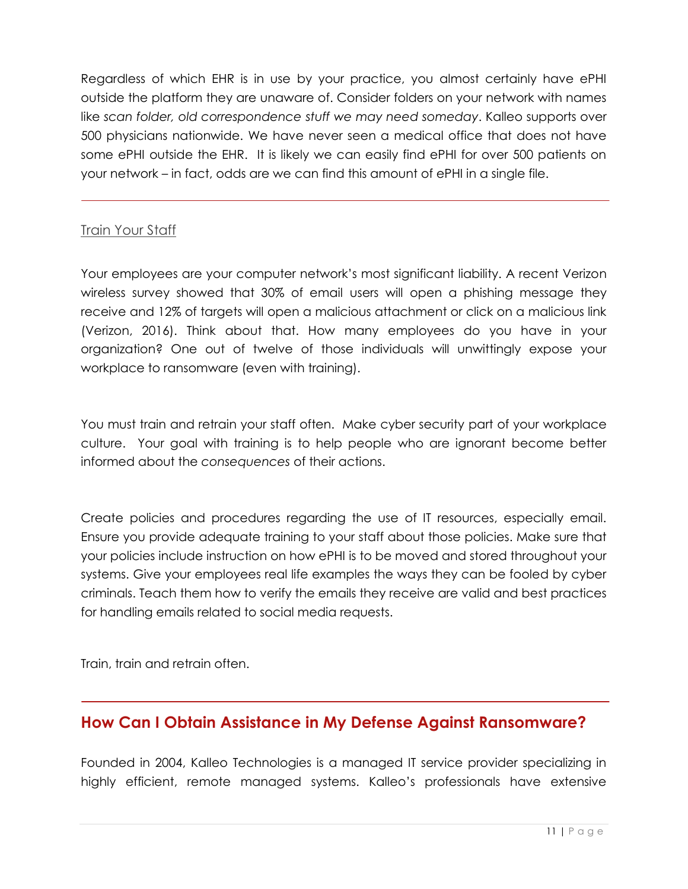Regardless of which EHR is in use by your practice, you almost certainly have ePHI outside the platform they are unaware of. Consider folders on your network with names like *scan folder, old correspondence stuff we may need someday*. Kalleo supports over 500 physicians nationwide. We have never seen a medical office that does not have some ePHI outside the EHR. It is likely we can easily find ePHI for over 500 patients on your network – in fact, odds are we can find this amount of ePHI in a single file.

#### **Train Your Staff**

Your employees are your computer network's most significant liability. A recent Verizon wireless survey showed that 30% of email users will open a phishing message they receive and 12% of targets will open a malicious attachment or click on a malicious link (Verizon, 2016). Think about that. How many employees do you have in your organization? One out of twelve of those individuals will unwittingly expose your workplace to ransomware (even with training).

You must train and retrain your staff often. Make cyber security part of your workplace culture. Your goal with training is to help people who are ignorant become better informed about the *consequences* of their actions.

Create policies and procedures regarding the use of IT resources, especially email. Ensure you provide adequate training to your staff about those policies. Make sure that your policies include instruction on how ePHI is to be moved and stored throughout your systems. Give your employees real life examples the ways they can be fooled by cyber criminals. Teach them how to verify the emails they receive are valid and best practices for handling emails related to social media requests.

Train, train and retrain often.

### **How Can I Obtain Assistance in My Defense Against Ransomware?**

Founded in 2004, Kalleo Technologies is a managed IT service provider specializing in highly efficient, remote managed systems. Kalleo's professionals have extensive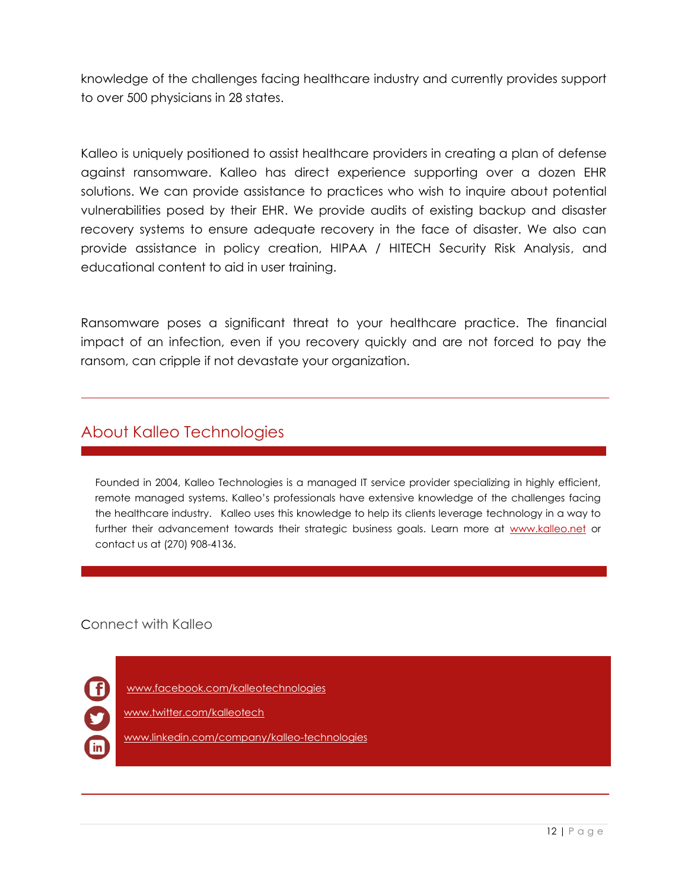knowledge of the challenges facing healthcare industry and currently provides support to over 500 physicians in 28 states.

Kalleo is uniquely positioned to assist healthcare providers in creating a plan of defense against ransomware. Kalleo has direct experience supporting over a dozen EHR solutions. We can provide assistance to practices who wish to inquire about potential vulnerabilities posed by their EHR. We provide audits of existing backup and disaster recovery systems to ensure adequate recovery in the face of disaster. We also can provide assistance in policy creation, HIPAA / HITECH Security Risk Analysis, and educational content to aid in user training.

Ransomware poses a significant threat to your healthcare practice. The financial impact of an infection, even if you recovery quickly and are not forced to pay the ransom, can cripple if not devastate your organization.

### About Kalleo Technologies

Founded in 2004, Kalleo Technologies is a managed IT service provider specializing in highly efficient, remote managed systems. Kalleo's professionals have extensive knowledge of the challenges facing the healthcare industry. Kalleo uses this knowledge to help its clients leverage technology in a way to further their advancement towards their strategic business goals. Learn more at [www.kalleo.net](http://www.kalleo.net/) or contact us at (270) 908-4136.

Connect with Kalleo